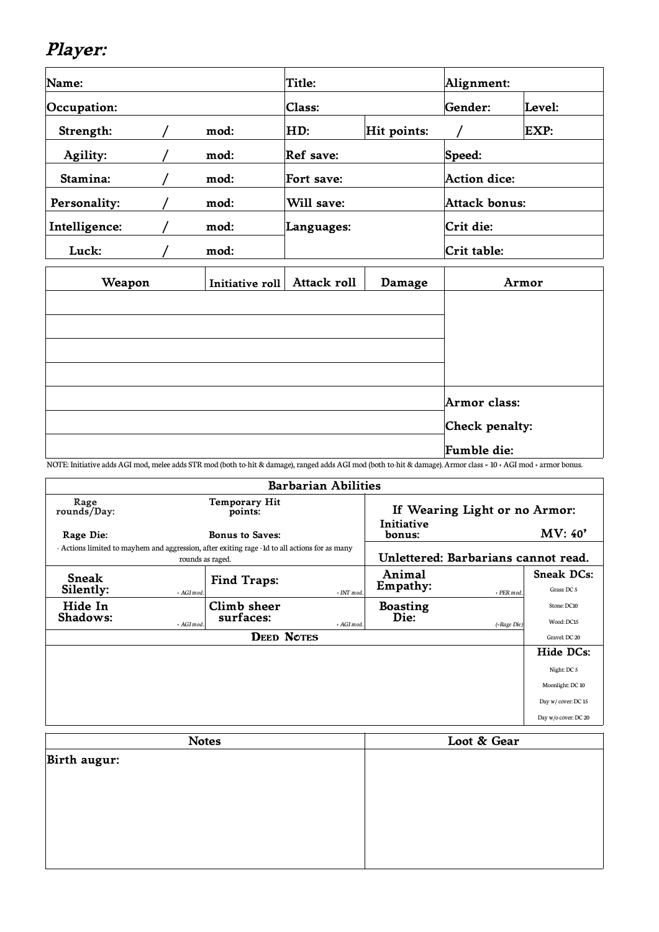## **Player:**

| Name:         |  | Title: |            | Alignment:  |             |               |  |
|---------------|--|--------|------------|-------------|-------------|---------------|--|
| Occupation:   |  |        | Class:     |             |             | Level:        |  |
| Strength:     |  | mod:   | HD:        | Hit points: |             | EXP:          |  |
| Agility:      |  | mod:   | Ref save:  |             | Speed:      |               |  |
| Stamina:      |  | mod:   | Fort save: |             |             | Action dice:  |  |
| Personality:  |  | mod:   | Will save: |             |             | Attack bonus: |  |
| Intelligence: |  | mod:   | Languages: |             |             | Crit die:     |  |
| Luck:         |  | mod:   |            |             | Crit table: |               |  |

| Weapon | Initiative roll Attack roll | Damage | Armor          |
|--------|-----------------------------|--------|----------------|
|        |                             |        |                |
|        |                             |        |                |
|        |                             |        |                |
|        |                             |        |                |
|        |                             |        | Armor class:   |
|        |                             |        | Check penalty: |
|        |                             |        | Fumble die:    |

NOTE: Initiative adds AGI mod, melee adds STR mod (both to-hit & damage), ranged adds AGI mod (both to-hit & damage). Armor class = 10 + AGI mod + armor bonus.

| <b>Barbarian Abilities</b>                                                                                        |                        |                                 |                                     |                 |                               |                      |
|-------------------------------------------------------------------------------------------------------------------|------------------------|---------------------------------|-------------------------------------|-----------------|-------------------------------|----------------------|
| Rage<br>rounds/Day:                                                                                               |                        | <b>Temporary Hit</b><br>points: |                                     |                 | If Wearing Light or no Armor: |                      |
| Rage Die:                                                                                                         | <b>Bonus to Saves:</b> |                                 | Initiative<br>bonus:                |                 | <b>MV: 40'</b>                |                      |
| - Actions limited to mayhem and aggression, after exiting rage -1d to all actions for as many<br>rounds as raged. |                        |                                 | Unlettered: Barbarians cannot read. |                 |                               |                      |
| <b>Sneak</b>                                                                                                      |                        | Find Traps:                     |                                     | Animal          |                               | <b>Sneak DCs:</b>    |
| Silently:                                                                                                         | + AGI mod.             |                                 | $+ INT$ mod                         | Empathy:        | + PER mod                     | Grass: DC 5          |
| Hide In                                                                                                           |                        | Climb sheer                     |                                     | <b>Boasting</b> |                               | Stone: DC10          |
| Shadows:                                                                                                          | + AGI mod.             | surfaces:                       | + AGI mod.                          | Die:            | (=Rage Die)                   | Wood: DC15           |
| <b>DEED NOTES</b>                                                                                                 |                        |                                 |                                     | Gravel: DC 20   |                               |                      |
|                                                                                                                   |                        |                                 |                                     |                 |                               | Hide DCs:            |
|                                                                                                                   |                        |                                 |                                     |                 |                               | Night: DC 5          |
|                                                                                                                   |                        |                                 |                                     |                 |                               | Moonlight: DC 10     |
|                                                                                                                   |                        |                                 |                                     |                 |                               | Day w/cover: DC 15   |
|                                                                                                                   |                        |                                 |                                     |                 |                               | Day w/o cover: DC 20 |

| <b>Notes</b> | Loot & Gear |  |  |
|--------------|-------------|--|--|
| Birth augur: |             |  |  |
|              |             |  |  |
|              |             |  |  |
|              |             |  |  |
|              |             |  |  |
|              |             |  |  |
|              |             |  |  |